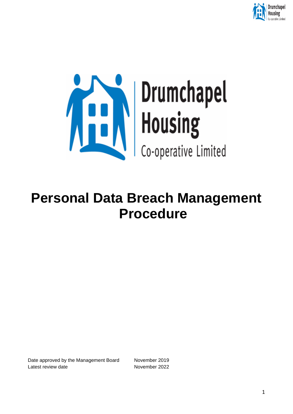



# **Personal Data Breach Management Procedure**

Date approved by the Management Board November 2019 Latest review date November 2022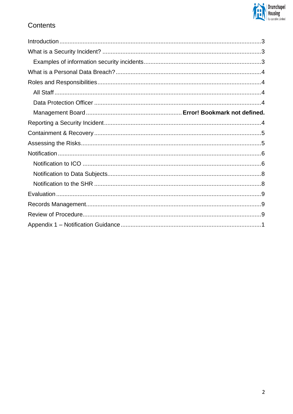

# Contents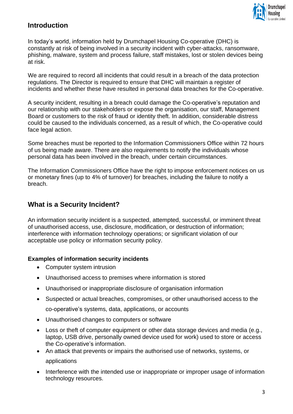

# <span id="page-2-0"></span>**Introduction**

In today's world, information held by Drumchapel Housing Co-operative (DHC) is constantly at risk of being involved in a security incident with cyber-attacks, ransomware, phishing, malware, system and process failure, staff mistakes, lost or stolen devices being at risk.

We are required to record all incidents that could result in a breach of the data protection regulations. The Director is required to ensure that DHC will maintain a register of incidents and whether these have resulted in personal data breaches for the Co-operative.

A security incident, resulting in a breach could damage the Co-operative's reputation and our relationship with our stakeholders or expose the organisation, our staff, Management Board or customers to the risk of fraud or identity theft. In addition, considerable distress could be caused to the individuals concerned, as a result of which, the Co-operative could face legal action.

Some breaches must be reported to the Information Commissioners Office within 72 hours of us being made aware. There are also requirements to notify the individuals whose personal data has been involved in the breach, under certain circumstances.

The Information Commissioners Office have the right to impose enforcement notices on us or monetary fines (up to 4% of turnover) for breaches, including the failure to notify a breach.

# <span id="page-2-1"></span>**What is a Security Incident?**

An information security incident is a suspected, attempted, successful, or imminent threat of unauthorised access, use, disclosure, modification, or destruction of information; interference with information technology operations; or significant violation of our acceptable use policy or information security policy.

## <span id="page-2-2"></span>**Examples of information security incidents**

- Computer system intrusion
- Unauthorised access to premises where information is stored
- Unauthorised or inappropriate disclosure of organisation information
- Suspected or actual breaches, compromises, or other unauthorised access to the co-operative's systems, data, applications, or accounts
- Unauthorised changes to computers or software
- Loss or theft of computer equipment or other data storage devices and media (e.g., laptop, USB drive, personally owned device used for work) used to store or access the Co-operative's information.
- An attack that prevents or impairs the authorised use of networks, systems, or applications
- Interference with the intended use or inappropriate or improper usage of information technology resources.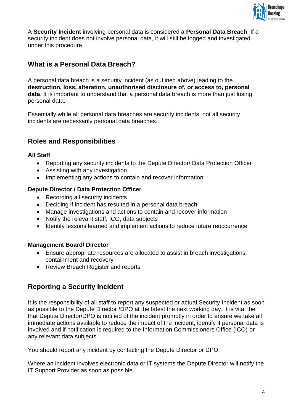

A **Security Incident** involving personal data is considered a **Personal Data Breach**. If a security incident does not involve personal data, it will still be logged and investigated under this procedure.

# <span id="page-3-0"></span>**What is a Personal Data Breach?**

A personal data breach is a security incident (as outlined above) leading to the **destruction, loss, alteration, unauthorised disclosure of, or access to, personal data**. It is important to understand that a personal data breach is more than just losing personal data.

Essentially while all personal data breaches are security incidents, not all security incidents are necessarily personal data breaches.

# <span id="page-3-1"></span>**Roles and Responsibilities**

#### <span id="page-3-2"></span>**All Staff**

- Reporting any security incidents to the Depute Director/ Data Protection Officer
- Assisting with any investigation
- Implementing any actions to contain and recover information

## <span id="page-3-3"></span>**Depute Director / Data Protection Officer**

- Recording all security incidents
- Deciding if incident has resulted in a personal data breach
- Manage investigations and actions to contain and recover information
- Notify the relevant staff, ICO, data subjects
- Identify lessons learned and implement actions to reduce future reoccurrence

#### **Management Board/ Director**

- Ensure appropriate resources are allocated to assist in breach investigations, containment and recovery
- Review Breach Register and reports

## <span id="page-3-4"></span>**Reporting a Security Incident**

It is the responsibility of all staff to report any suspected or actual Security Incident as soon as possible to the Depute Director /DPO at the latest the next working day. It is vital the that Depute Director/DPO is notified of the incident promptly in order to ensure we take all immediate actions available to reduce the impact of the incident, identify if personal data is involved and if notification is required to the Information Commissioners Office (ICO) or any relevant data subjects.

You should report any incident by contacting the Depute Director or DPO.

Where an incident involves electronic data or IT systems the Depute Director will notify the IT Support Provider as soon as possible.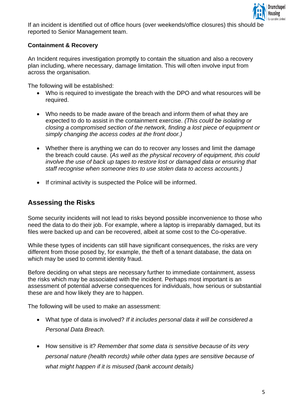

<span id="page-4-0"></span>If an incident is identified out of office hours (over weekends/office closures) this should be reported to Senior Management team.

## **Containment & Recovery**

An Incident requires investigation promptly to contain the situation and also a recovery plan including, where necessary, damage limitation. This will often involve input from across the organisation.

The following will be established:

- Who is required to investigate the breach with the DPO and what resources will be required.
- Who needs to be made aware of the breach and inform them of what they are expected to do to assist in the containment exercise. *(This could be isolating or closing a compromised section of the network, finding a lost piece of equipment or simply changing the access codes at the front door.)*
- Whether there is anything we can do to recover any losses and limit the damage the breach could cause. (*As well as the physical recovery of equipment, this could involve the use of back up tapes to restore lost or damaged data or ensuring that staff recognise when someone tries to use stolen data to access accounts.)*
- If criminal activity is suspected the Police will be informed.

## <span id="page-4-1"></span>**Assessing the Risks**

Some security incidents will not lead to risks beyond possible inconvenience to those who need the data to do their job. For example, where a laptop is irreparably damaged, but its files were backed up and can be recovered, albeit at some cost to the Co-operative.

While these types of incidents can still have significant consequences, the risks are very different from those posed by, for example, the theft of a tenant database, the data on which may be used to commit identity fraud.

Before deciding on what steps are necessary further to immediate containment, assess the risks which may be associated with the incident. Perhaps most important is an assessment of potential adverse consequences for individuals, how serious or substantial these are and how likely they are to happen.

The following will be used to make an assessment:

- What type of data is involved? *If it includes personal data it will be considered a Personal Data Breach.*
- How sensitive is it? *Remember that some data is sensitive because of its very personal nature (health records) while other data types are sensitive because of what might happen if it is misused (bank account details)*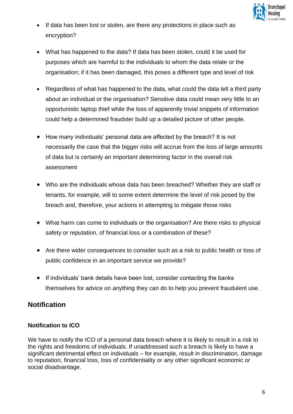

- If data has been lost or stolen, are there any protections in place such as encryption?
- What has happened to the data? If data has been stolen, could it be used for purposes which are harmful to the individuals to whom the data relate or the organisation; if it has been damaged, this poses a different type and level of risk
- Regardless of what has happened to the data, what could the data tell a third party about an individual or the organisation? Sensitive data could mean very little to an opportunistic laptop thief while the loss of apparently trivial snippets of information could help a determined fraudster build up a detailed picture of other people.
- How many individuals' personal data are affected by the breach? It is not necessarily the case that the bigger risks will accrue from the loss of large amounts of data but is certainly an important determining factor in the overall risk assessment
- Who are the individuals whose data has been breached? Whether they are staff or tenants, for example, will to some extent determine the level of risk posed by the breach and, therefore, your actions in attempting to mitigate those risks
- What harm can come to individuals or the organisation? Are there risks to physical safety or reputation, of financial loss or a combination of these?
- Are there wider consequences to consider such as a risk to public health or loss of public confidence in an important service we provide?
- If individuals' bank details have been lost, consider contacting the banks themselves for advice on anything they can do to help you prevent fraudulent use.

# <span id="page-5-0"></span>**Notification**

## <span id="page-5-1"></span>**Notification to ICO**

We have to notify the ICO of a personal data breach where it is likely to result in a risk to the rights and freedoms of individuals. If unaddressed such a breach is likely to have a significant detrimental effect on individuals – for example, result in discrimination, damage to reputation, financial loss, loss of confidentiality or any other significant economic or social disadvantage.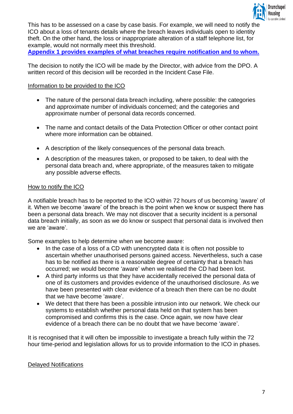

This has to be assessed on a case by case basis. For example, we will need to notify the ICO about a loss of tenants details where the breach leaves individuals open to identity theft. On the other hand, the loss or inappropriate alteration of a staff telephone list, for example, would not normally meet this threshold.

**[Appendix 1 provides examples of what breaches require notification and to whom.](#page-9-0)**

The decision to notify the ICO will be made by the Director, with advice from the DPO. A written record of this decision will be recorded in the Incident Case File.

## Information to be provided to the ICO

- The nature of the personal data breach including, where possible: the categories and approximate number of individuals concerned; and the categories and approximate number of personal data records concerned.
- The name and contact details of the Data Protection Officer or other contact point where more information can be obtained.
- A description of the likely consequences of the personal data breach.
- A description of the measures taken, or proposed to be taken, to deal with the personal data breach and, where appropriate, of the measures taken to mitigate any possible adverse effects.

#### How to notify the ICO

A notifiable breach has to be reported to the ICO within 72 hours of us becoming 'aware' of it. When we become 'aware' of the breach is the point when we know or suspect there has been a personal data breach. We may not discover that a security incident is a personal data breach initially, as soon as we do know or suspect that personal data is involved then we are 'aware'.

Some examples to help determine when we become aware:

- In the case of a loss of a CD with unencrypted data it is often not possible to ascertain whether unauthorised persons gained access. Nevertheless, such a case has to be notified as there is a reasonable degree of certainty that a breach has occurred; we would become 'aware' when we realised the CD had been lost.
- A third party informs us that they have accidentally received the personal data of one of its customers and provides evidence of the unauthorised disclosure. As we have been presented with clear evidence of a breach then there can be no doubt that we have become 'aware'.
- We detect that there has been a possible intrusion into our network. We check our systems to establish whether personal data held on that system has been compromised and confirms this is the case. Once again, we now have clear evidence of a breach there can be no doubt that we have become 'aware'.

It is recognised that it will often be impossible to investigate a breach fully within the 72 hour time-period and legislation allows for us to provide information to the ICO in phases.

#### Delayed Notifications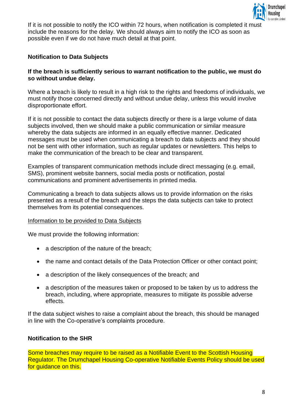

If it is not possible to notify the ICO within 72 hours, when notification is completed it must include the reasons for the delay. We should always aim to notify the ICO as soon as possible even if we do not have much detail at that point.

## <span id="page-7-0"></span>**Notification to Data Subjects**

#### **If the breach is sufficiently serious to warrant notification to the public, we must do so without undue delay.**

Where a breach is likely to result in a high risk to the rights and freedoms of individuals, we must notify those concerned directly and without undue delay, unless this would involve disproportionate effort.

If it is not possible to contact the data subjects directly or there is a large volume of data subjects involved, then we should make a public communication or similar measure whereby the data subjects are informed in an equally effective manner. Dedicated messages must be used when communicating a breach to data subjects and they should not be sent with other information, such as regular updates or newsletters. This helps to make the communication of the breach to be clear and transparent.

Examples of transparent communication methods include direct messaging (e.g. email, SMS), prominent website banners, social media posts or notification, postal communications and prominent advertisements in printed media.

Communicating a breach to data subjects allows us to provide information on the risks presented as a result of the breach and the steps the data subjects can take to protect themselves from its potential consequences.

#### Information to be provided to Data Subjects

We must provide the following information:

- a description of the nature of the breach:
- the name and contact details of the Data Protection Officer or other contact point;
- a description of the likely consequences of the breach; and
- a description of the measures taken or proposed to be taken by us to address the breach, including, where appropriate, measures to mitigate its possible adverse effects.

If the data subject wishes to raise a complaint about the breach, this should be managed in line with the Co-operative's complaints procedure.

#### <span id="page-7-1"></span>**Notification to the SHR**

Some breaches may require to be raised as a Notifiable Event to the Scottish Housing Regulator. The Drumchapel Housing Co-operative Notifiable Events Policy should be used for quidance on this.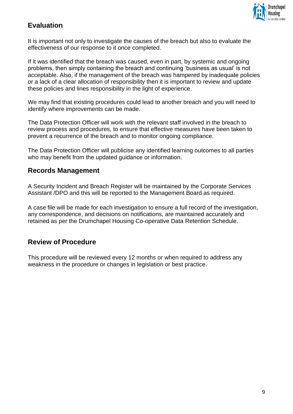

# <span id="page-8-0"></span>**Evaluation**

It is important not only to investigate the causes of the breach but also to evaluate the effectiveness of our response to it once completed.

If it was identified that the breach was caused, even in part, by systemic and ongoing problems, then simply containing the breach and continuing 'business as usual' is not acceptable. Also, if the management of the breach was hampered by inadequate policies or a lack of a clear allocation of responsibility then it is important to review and update these policies and lines responsibility in the light of experience.

We may find that existing procedures could lead to another breach and you will need to identify where improvements can be made.

The Data Protection Officer will work with the relevant staff involved in the breach to review process and procedures, to ensure that effective measures have been taken to prevent a recurrence of the breach and to monitor ongoing compliance.

The Data Protection Officer will publicise any identified learning outcomes to all parties who may benefit from the updated guidance or information.

## <span id="page-8-1"></span>**Records Management**

A Security Incident and Breach Register will be maintained by the Corporate Services Assistant /DPO and this will be reported to the Management Board as required.

A case file will be made for each investigation to ensure a full record of the investigation, any correspondence, and decisions on notifications, are maintained accurately and retained as per the Drumchapel Housing Co-operative Data Retention Schedule.

# <span id="page-8-2"></span>**Review of Procedure**

This procedure will be reviewed every 12 months or when required to address any weakness in the procedure or changes in legislation or best practice.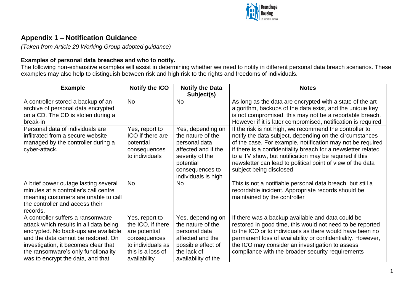

# **Appendix 1 – Notification Guidance**

*(Taken from Article 29 Working Group adopted guidance)*

## **Examples of personal data breaches and who to notify.**

The following non-exhaustive examples will assist in determining whether we need to notify in different personal data breach scenarios. These examples may also help to distinguish between risk and high risk to the rights and freedoms of individuals.

<span id="page-9-0"></span>

| <b>Example</b>                                                                                                                                                                                                                                                                 | <b>Notify the ICO</b>                                                                                                          | <b>Notify the Data</b><br>Subject(s)                                                                                                                     | <b>Notes</b>                                                                                                                                                                                                                                                                                                                                                                                         |
|--------------------------------------------------------------------------------------------------------------------------------------------------------------------------------------------------------------------------------------------------------------------------------|--------------------------------------------------------------------------------------------------------------------------------|----------------------------------------------------------------------------------------------------------------------------------------------------------|------------------------------------------------------------------------------------------------------------------------------------------------------------------------------------------------------------------------------------------------------------------------------------------------------------------------------------------------------------------------------------------------------|
| A controller stored a backup of an<br>archive of personal data encrypted<br>on a CD. The CD is stolen during a<br>break-in                                                                                                                                                     | <b>No</b>                                                                                                                      | <b>No</b>                                                                                                                                                | As long as the data are encrypted with a state of the art<br>algorithm, backups of the data exist, and the unique key<br>is not compromised, this may not be a reportable breach.<br>However if it is later compromised, notification is required                                                                                                                                                    |
| Personal data of individuals are<br>infiltrated from a secure website<br>managed by the controller during a<br>cyber-attack.                                                                                                                                                   | Yes, report to<br>ICO if there are<br>potential<br>consequences<br>to individuals                                              | Yes, depending on<br>the nature of the<br>personal data<br>affected and if the<br>severity of the<br>potential<br>consequences to<br>individuals is high | If the risk is not high, we recommend the controller to<br>notify the data subject, depending on the circumstances<br>of the case. For example, notification may not be required<br>if there is a confidentiality breach for a newsletter related<br>to a TV show, but notification may be required if this<br>newsletter can lead to political point of view of the data<br>subject being disclosed |
| A brief power outage lasting several<br>minutes at a controller's call centre<br>meaning customers are unable to call<br>the controller and access their<br>records.                                                                                                           | <b>No</b>                                                                                                                      | <b>No</b>                                                                                                                                                | This is not a notifiable personal data breach, but still a<br>recordable incident. Appropriate records should be<br>maintained by the controller                                                                                                                                                                                                                                                     |
| A controller suffers a ransomware<br>attack which results in all data being<br>encrypted. No back-ups are available<br>and the data cannot be restored. On<br>investigation, it becomes clear that<br>the ransomware's only functionality<br>was to encrypt the data, and that | Yes, report to<br>the ICO, if there<br>are potential<br>consequences<br>to individuals as<br>this is a loss of<br>availability | Yes, depending on<br>the nature of the<br>personal data<br>affected and the<br>possible effect of<br>the lack of<br>availability of the                  | If there was a backup available and data could be<br>restored in good time, this would not need to be reported<br>to the ICO or to individuals as there would have been no<br>permanent loss of availability or confidentiality. However,<br>the ICO may consider an investigation to assess<br>compliance with the broader security requirements                                                    |